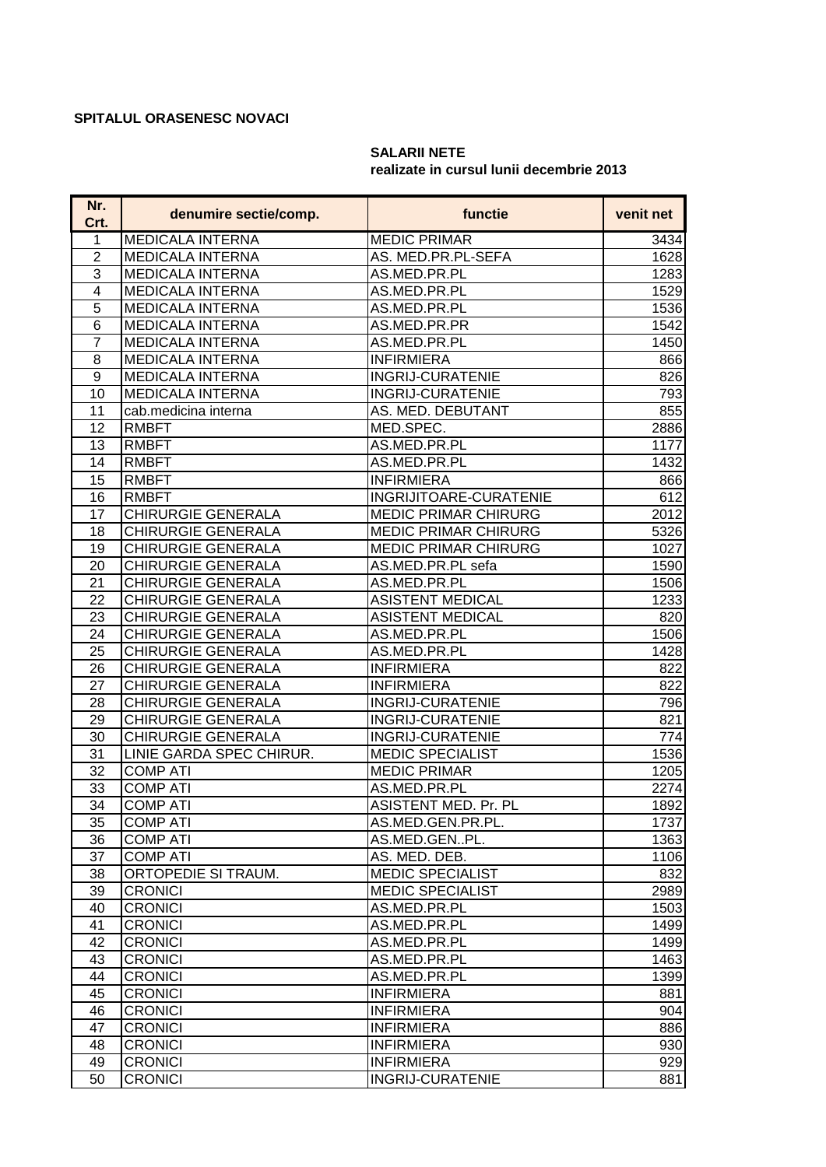## **SPITALUL ORASENESC NOVACI**

## **SALARII NETE realizate in cursul lunii decembrie 2013**

| Nr.<br>Crt.    | denumire sectie/comp.     | functie                     | venit net |
|----------------|---------------------------|-----------------------------|-----------|
| 1              | <b>MEDICALA INTERNA</b>   | <b>MEDIC PRIMAR</b>         | 3434      |
| $\overline{2}$ | <b>MEDICALA INTERNA</b>   | AS. MED.PR.PL-SEFA          | 1628      |
| 3              | <b>MEDICALA INTERNA</b>   | AS.MED.PR.PL                | 1283      |
| $\overline{4}$ | <b>MEDICALA INTERNA</b>   | AS.MED.PR.PL                | 1529      |
| 5              | <b>MEDICALA INTERNA</b>   | AS.MED.PR.PL                | 1536      |
| 6              | <b>MEDICALA INTERNA</b>   | AS.MED.PR.PR                | 1542      |
| $\overline{7}$ | <b>MEDICALA INTERNA</b>   | AS.MED.PR.PL                | 1450      |
| 8              | <b>MEDICALA INTERNA</b>   | <b>INFIRMIERA</b>           | 866       |
| 9              | <b>MEDICALA INTERNA</b>   | <b>INGRIJ-CURATENIE</b>     | 826       |
| 10             | <b>MEDICALA INTERNA</b>   | <b>INGRIJ-CURATENIE</b>     | 793       |
| 11             | cab.medicina interna      | AS. MED. DEBUTANT           | 855       |
| 12             | <b>RMBFT</b>              | MED.SPEC.                   | 2886      |
| 13             | <b>RMBFT</b>              | AS.MED.PR.PL                | 1177      |
| 14             | <b>RMBFT</b>              | AS.MED.PR.PL                | 1432      |
| 15             | <b>RMBFT</b>              | <b>INFIRMIERA</b>           | 866       |
| 16             | <b>RMBFT</b>              | INGRIJITOARE-CURATENIE      | 612       |
| 17             | <b>CHIRURGIE GENERALA</b> | <b>MEDIC PRIMAR CHIRURG</b> | 2012      |
| 18             | <b>CHIRURGIE GENERALA</b> | <b>MEDIC PRIMAR CHIRURG</b> | 5326      |
| 19             | <b>CHIRURGIE GENERALA</b> | <b>MEDIC PRIMAR CHIRURG</b> | 1027      |
| 20             | <b>CHIRURGIE GENERALA</b> | AS.MED.PR.PL sefa           | 1590      |
| 21             | <b>CHIRURGIE GENERALA</b> | AS.MED.PR.PL                | 1506      |
| 22             | CHIRURGIE GENERALA        | <b>ASISTENT MEDICAL</b>     | 1233      |
| 23             | <b>CHIRURGIE GENERALA</b> | <b>ASISTENT MEDICAL</b>     | 820       |
| 24             | <b>CHIRURGIE GENERALA</b> | AS.MED.PR.PL                | 1506      |
| 25             | <b>CHIRURGIE GENERALA</b> | AS.MED.PR.PL                | 1428      |
| 26             | <b>CHIRURGIE GENERALA</b> | <b>INFIRMIERA</b>           | 822       |
| 27             | <b>CHIRURGIE GENERALA</b> | <b>INFIRMIERA</b>           | 822       |
| 28             | <b>CHIRURGIE GENERALA</b> | <b>INGRIJ-CURATENIE</b>     | 796       |
| 29             | <b>CHIRURGIE GENERALA</b> | <b>INGRIJ-CURATENIE</b>     | 821       |
| 30             | <b>CHIRURGIE GENERALA</b> | <b>INGRIJ-CURATENIE</b>     | 774       |
| 31             | LINIE GARDA SPEC CHIRUR.  | <b>MEDIC SPECIALIST</b>     | 1536      |
| 32             | <b>COMP ATI</b>           | <b>MEDIC PRIMAR</b>         | 1205      |
| 33             | <b>COMP ATI</b>           | AS.MED.PR.PL                | 2274      |
| 34             | <b>COMP ATI</b>           | ASISTENT MED. Pr. PL        | 1892      |
| 35             | <b>COMP ATI</b>           | AS.MED.GEN.PR.PL.           | 1737      |
| 36             | <b>COMP ATI</b>           | AS.MED.GENPL.               | 1363      |
| 37             | <b>COMP ATI</b>           | AS. MED. DEB.               | 1106      |
| 38             | ORTOPEDIE SI TRAUM.       | <b>MEDIC SPECIALIST</b>     | 832       |
| 39             | <b>CRONICI</b>            | <b>MEDIC SPECIALIST</b>     | 2989      |
| 40             | <b>CRONICI</b>            | AS.MED.PR.PL                | 1503      |
| 41             | <b>CRONICI</b>            | AS.MED.PR.PL                | 1499      |
| 42             | <b>CRONICI</b>            | AS.MED.PR.PL                | 1499      |
| 43             | <b>CRONICI</b>            | AS.MED.PR.PL                | 1463      |
| 44             | <b>CRONICI</b>            | AS.MED.PR.PL                | 1399      |
| 45             | <b>CRONICI</b>            | <b>INFIRMIERA</b>           | 881       |
| 46             | <b>CRONICI</b>            | <b>INFIRMIERA</b>           | 904       |
| 47             | <b>CRONICI</b>            | <b>INFIRMIERA</b>           | 886       |
| 48             | <b>CRONICI</b>            | <b>INFIRMIERA</b>           | 930       |
| 49             | <b>CRONICI</b>            | <b>INFIRMIERA</b>           | 929       |
| 50             | <b>CRONICI</b>            | <b>INGRIJ-CURATENIE</b>     | 881       |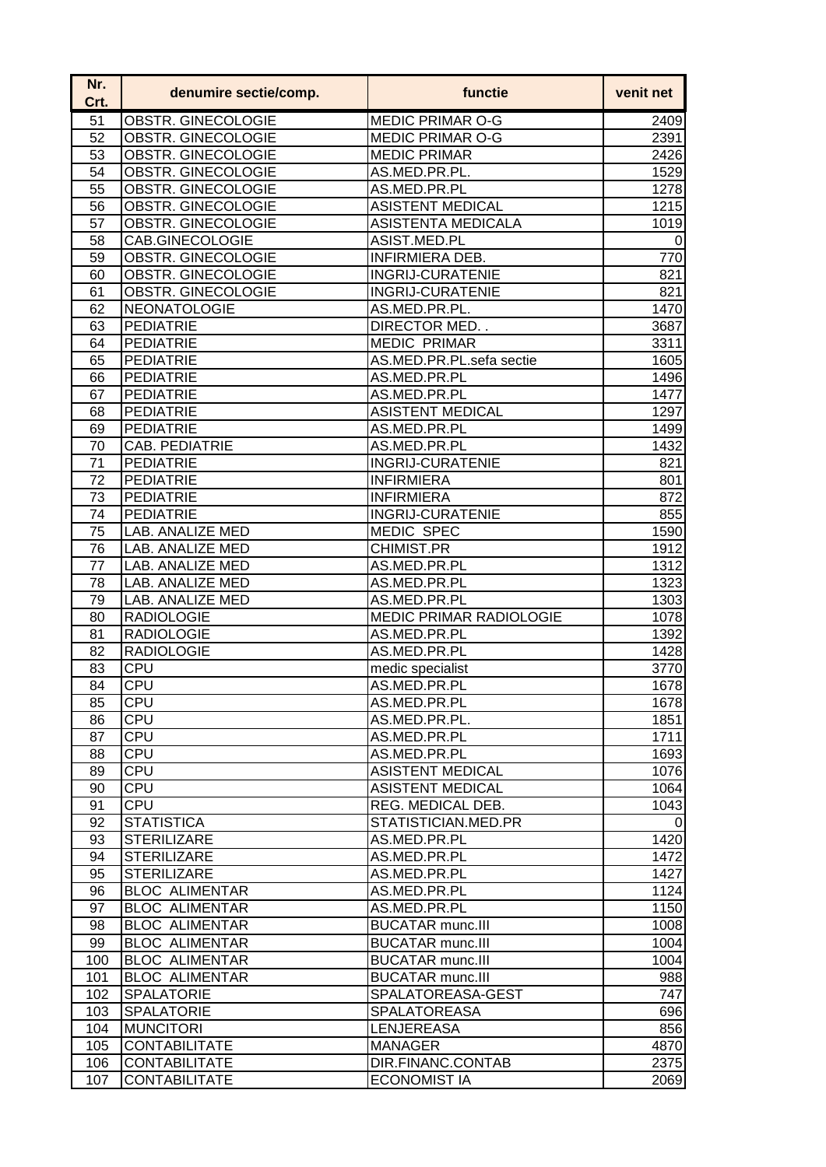| Nr.<br>Crt. | denumire sectie/comp.     | functie                          | venit net       |
|-------------|---------------------------|----------------------------------|-----------------|
| 51          | <b>OBSTR. GINECOLOGIE</b> | <b>MEDIC PRIMAR O-G</b>          | 2409            |
| 52          | OBSTR. GINECOLOGIE        | <b>MEDIC PRIMAR O-G</b>          | 2391            |
| 53          | OBSTR. GINECOLOGIE        | <b>MEDIC PRIMAR</b>              | 2426            |
| 54          | OBSTR. GINECOLOGIE        | AS.MED.PR.PL.                    | 1529            |
| 55          | OBSTR. GINECOLOGIE        | AS.MED.PR.PL                     | 1278            |
| 56          | OBSTR. GINECOLOGIE        | <b>ASISTENT MEDICAL</b>          | 1215            |
| 57          | OBSTR. GINECOLOGIE        | <b>ASISTENTA MEDICALA</b>        | 1019            |
| 58          | CAB.GINECOLOGIE           | ASIST.MED.PL                     | $\vert 0 \vert$ |
| 59          | <b>OBSTR. GINECOLOGIE</b> | <b>INFIRMIERA DEB.</b>           | 770             |
| 60          | OBSTR. GINECOLOGIE        | <b>INGRIJ-CURATENIE</b>          | 821             |
| 61          | OBSTR. GINECOLOGIE        | <b>INGRIJ-CURATENIE</b>          | 821             |
| 62          | NEONATOLOGIE              | AS.MED.PR.PL.                    | 1470            |
| 63          | <b>PEDIATRIE</b>          | DIRECTOR MED                     | 3687            |
| 64          | <b>PEDIATRIE</b>          | <b>MEDIC PRIMAR</b>              | 3311            |
| 65          | <b>PEDIATRIE</b>          | AS.MED.PR.PL.sefa sectie         | 1605            |
| 66          | <b>PEDIATRIE</b>          | AS.MED.PR.PL                     | 1496            |
| 67          | <b>PEDIATRIE</b>          | AS.MED.PR.PL                     | 1477            |
| 68          | <b>PEDIATRIE</b>          | <b>ASISTENT MEDICAL</b>          | 1297            |
| 69          | <b>PEDIATRIE</b>          | AS.MED.PR.PL                     | 1499            |
| 70          | <b>CAB. PEDIATRIE</b>     | AS.MED.PR.PL                     | 1432            |
| 71          | PEDIATRIE                 | <b>INGRIJ-CURATENIE</b>          | 821             |
| 72          | <b>PEDIATRIE</b>          | <b>INFIRMIERA</b>                | 801             |
| 73          | PEDIATRIE                 | <b>INFIRMIERA</b>                | 872             |
| 74          | <b>PEDIATRIE</b>          | <b>INGRIJ-CURATENIE</b>          | 855             |
| 75          | <b>LAB. ANALIZE MED</b>   | <b>MEDIC SPEC</b>                | 1590            |
| 76          | LAB. ANALIZE MED          | <b>CHIMIST.PR</b>                | 1912            |
| 77          | LAB. ANALIZE MED          | AS.MED.PR.PL                     | 1312            |
| 78          | LAB. ANALIZE MED          | AS.MED.PR.PL                     | 1323            |
| 79          | LAB. ANALIZE MED          | AS.MED.PR.PL                     | 1303            |
| 80          | <b>RADIOLOGIE</b>         | <b>MEDIC PRIMAR RADIOLOGIE</b>   | 1078            |
| 81          | <b>RADIOLOGIE</b>         | AS.MED.PR.PL                     | 1392            |
| 82          | <b>RADIOLOGIE</b>         | AS.MED.PR.PL                     | 1428            |
|             |                           |                                  |                 |
| 83          | <b>CPU</b><br>CPU         | medic specialist<br>AS.MED.PR.PL | 3770            |
| 84          | ICPU                      |                                  | 1678            |
| 85          |                           | AS.MED.PR.PL                     | 1678            |
| 86          | <b>CPU</b>                | AS.MED.PR.PL.                    | 1851            |
| 87          | <b>CPU</b>                | AS.MED.PR.PL                     | 1711            |
| 88          | <b>CPU</b>                | AS.MED.PR.PL                     | 1693            |
| 89          | <b>CPU</b>                | <b>ASISTENT MEDICAL</b>          | 1076            |
| 90          | <b>CPU</b>                | <b>ASISTENT MEDICAL</b>          | 1064            |
| 91          | <b>CPU</b>                | REG. MEDICAL DEB.                | 1043            |
| 92          | <b>STATISTICA</b>         | STATISTICIAN.MED.PR              | 0               |
| 93          | <b>STERILIZARE</b>        | AS.MED.PR.PL                     | 1420            |
| 94          | <b>STERILIZARE</b>        | AS.MED.PR.PL                     | 1472            |
| 95          | <b>STERILIZARE</b>        | AS.MED.PR.PL                     | 1427            |
| 96          | <b>BLOC ALIMENTAR</b>     | AS.MED.PR.PL                     | 1124            |
| 97          | <b>BLOC ALIMENTAR</b>     | AS.MED.PR.PL                     | 1150            |
| 98          | <b>BLOC ALIMENTAR</b>     | <b>BUCATAR munc.III</b>          | 1008            |
| 99          | <b>BLOC ALIMENTAR</b>     | <b>BUCATAR munc.III</b>          | 1004            |
| 100         | <b>BLOC ALIMENTAR</b>     | <b>BUCATAR munc.III</b>          | 1004            |
| 101         | <b>BLOC ALIMENTAR</b>     | <b>BUCATAR munc.III</b>          | 988             |
| 102         | <b>SPALATORIE</b>         | SPALATOREASA-GEST                | 747             |
| 103         | <b>SPALATORIE</b>         | <b>SPALATOREASA</b>              | 696             |
| 104         | <b>MUNCITORI</b>          | LENJEREASA                       | 856             |
| 105         | <b>CONTABILITATE</b>      | <b>MANAGER</b>                   | 4870            |
| 106         | <b>CONTABILITATE</b>      | DIR.FINANC.CONTAB                | 2375            |
| 107         | <b>CONTABILITATE</b>      | <b>ECONOMIST IA</b>              | 2069            |